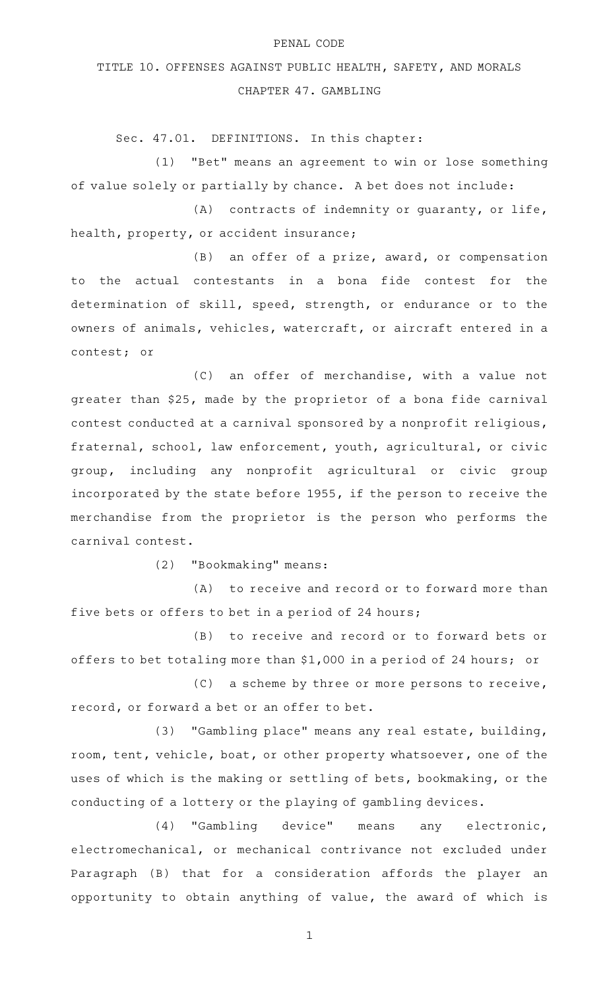## PENAL CODE

## TITLE 10. OFFENSES AGAINST PUBLIC HEALTH, SAFETY, AND MORALS CHAPTER 47. GAMBLING

Sec. 47.01. DEFINITIONS. In this chapter:

(1) "Bet" means an agreement to win or lose something of value solely or partially by chance. A bet does not include:

(A) contracts of indemnity or guaranty, or life, health, property, or accident insurance;

 $(B)$  an offer of a prize, award, or compensation to the actual contestants in a bona fide contest for the determination of skill, speed, strength, or endurance or to the owners of animals, vehicles, watercraft, or aircraft entered in a contest; or

 $(C)$  an offer of merchandise, with a value not greater than \$25, made by the proprietor of a bona fide carnival contest conducted at a carnival sponsored by a nonprofit religious, fraternal, school, law enforcement, youth, agricultural, or civic group, including any nonprofit agricultural or civic group incorporated by the state before 1955, if the person to receive the merchandise from the proprietor is the person who performs the carnival contest.

(2) "Bookmaking" means:

(A) to receive and record or to forward more than five bets or offers to bet in a period of 24 hours;

(B) to receive and record or to forward bets or offers to bet totaling more than \$1,000 in a period of 24 hours; or

(C) a scheme by three or more persons to receive, record, or forward a bet or an offer to bet.

(3) "Gambling place" means any real estate, building, room, tent, vehicle, boat, or other property whatsoever, one of the uses of which is the making or settling of bets, bookmaking, or the conducting of a lottery or the playing of gambling devices.

(4) "Gambling device" means any electronic, electromechanical, or mechanical contrivance not excluded under Paragraph (B) that for a consideration affords the player an opportunity to obtain anything of value, the award of which is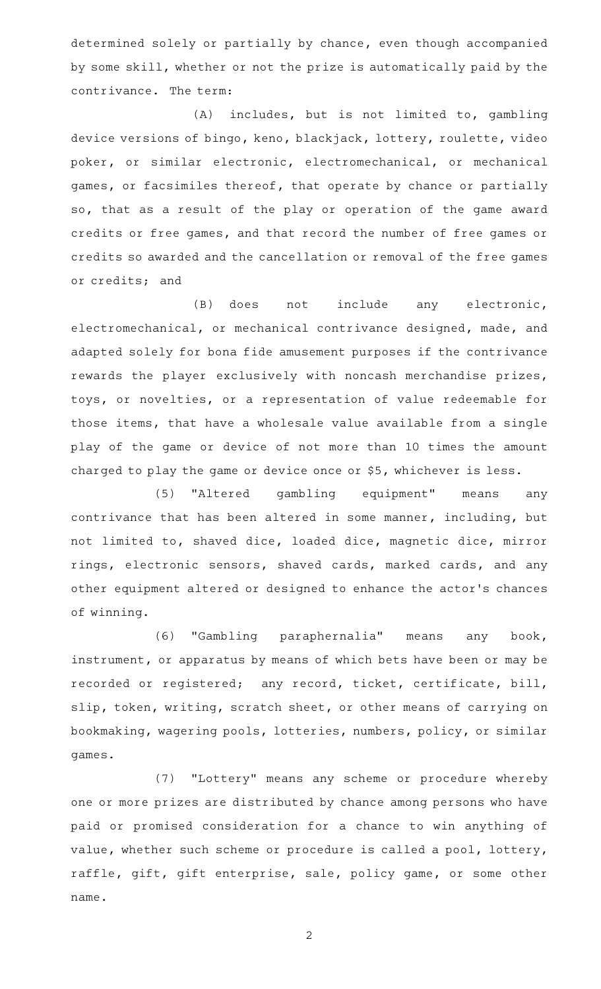determined solely or partially by chance, even though accompanied by some skill, whether or not the prize is automatically paid by the contrivance. The term:

 $(A)$  includes, but is not limited to, gambling device versions of bingo, keno, blackjack, lottery, roulette, video poker, or similar electronic, electromechanical, or mechanical games, or facsimiles thereof, that operate by chance or partially so, that as a result of the play or operation of the game award credits or free games, and that record the number of free games or credits so awarded and the cancellation or removal of the free games or credits; and

(B) does not include any electronic, electromechanical, or mechanical contrivance designed, made, and adapted solely for bona fide amusement purposes if the contrivance rewards the player exclusively with noncash merchandise prizes, toys, or novelties, or a representation of value redeemable for those items, that have a wholesale value available from a single play of the game or device of not more than 10 times the amount charged to play the game or device once or \$5, whichever is less.

(5) "Altered gambling equipment" means any contrivance that has been altered in some manner, including, but not limited to, shaved dice, loaded dice, magnetic dice, mirror rings, electronic sensors, shaved cards, marked cards, and any other equipment altered or designed to enhance the actor 's chances of winning.

(6) "Gambling paraphernalia" means any book, instrument, or apparatus by means of which bets have been or may be recorded or registered; any record, ticket, certificate, bill, slip, token, writing, scratch sheet, or other means of carrying on bookmaking, wagering pools, lotteries, numbers, policy, or similar games.

(7) "Lottery" means any scheme or procedure whereby one or more prizes are distributed by chance among persons who have paid or promised consideration for a chance to win anything of value, whether such scheme or procedure is called a pool, lottery, raffle, gift, gift enterprise, sale, policy game, or some other name.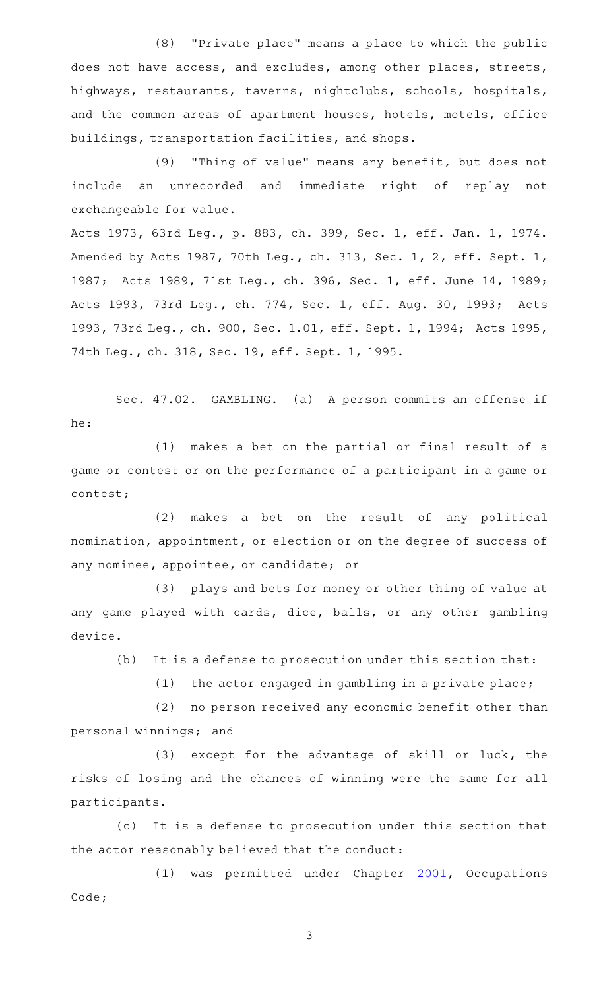(8) "Private place" means a place to which the public does not have access, and excludes, among other places, streets, highways, restaurants, taverns, nightclubs, schools, hospitals, and the common areas of apartment houses, hotels, motels, office buildings, transportation facilities, and shops.

(9) "Thing of value" means any benefit, but does not include an unrecorded and immediate right of replay not exchangeable for value.

Acts 1973, 63rd Leg., p. 883, ch. 399, Sec. 1, eff. Jan. 1, 1974. Amended by Acts 1987, 70th Leg., ch. 313, Sec. 1, 2, eff. Sept. 1, 1987; Acts 1989, 71st Leg., ch. 396, Sec. 1, eff. June 14, 1989; Acts 1993, 73rd Leg., ch. 774, Sec. 1, eff. Aug. 30, 1993; Acts 1993, 73rd Leg., ch. 900, Sec. 1.01, eff. Sept. 1, 1994; Acts 1995, 74th Leg., ch. 318, Sec. 19, eff. Sept. 1, 1995.

Sec. 47.02. GAMBLING. (a) A person commits an offense if he:

(1) makes a bet on the partial or final result of a game or contest or on the performance of a participant in a game or contest;

(2) makes a bet on the result of any political nomination, appointment, or election or on the degree of success of any nominee, appointee, or candidate; or

(3) plays and bets for money or other thing of value at any game played with cards, dice, balls, or any other gambling device.

 $(b)$  It is a defense to prosecution under this section that:

 $(1)$  the actor engaged in gambling in a private place;

(2) no person received any economic benefit other than personal winnings; and

(3) except for the advantage of skill or luck, the risks of losing and the chances of winning were the same for all participants.

(c) It is a defense to prosecution under this section that the actor reasonably believed that the conduct:

(1) was permitted under Chapter [2001](http://www.statutes.legis.state.tx.us/GetStatute.aspx?Code=OC&Value=2001), Occupations Code;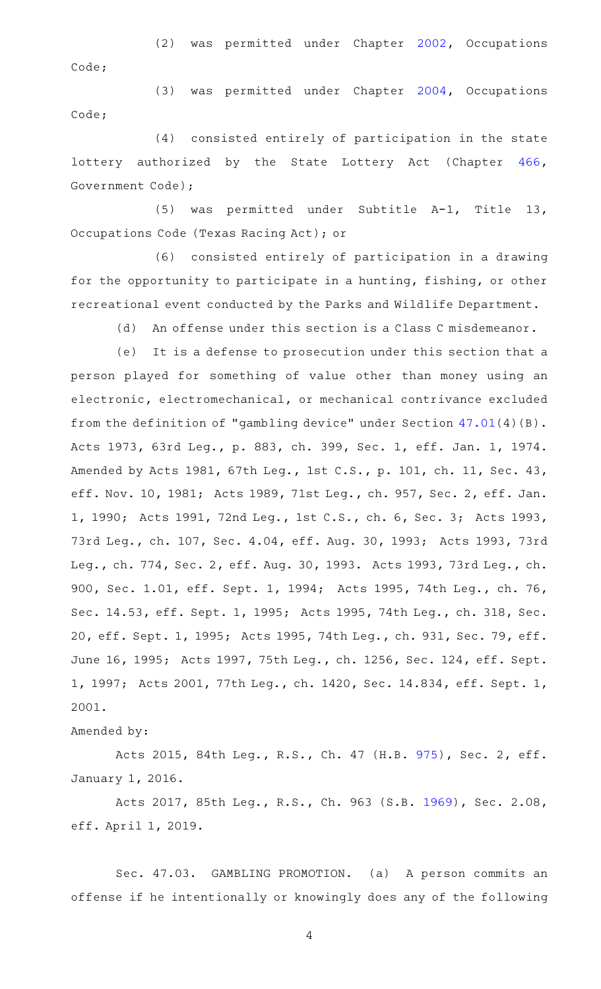(2) was permitted under Chapter [2002](http://www.statutes.legis.state.tx.us/GetStatute.aspx?Code=OC&Value=2002), Occupations Code;

(3) was permitted under Chapter [2004](http://www.statutes.legis.state.tx.us/GetStatute.aspx?Code=OC&Value=2004), Occupations Code;

 $(4)$  consisted entirely of participation in the state lottery authorized by the State Lottery Act (Chapter [466](http://www.statutes.legis.state.tx.us/GetStatute.aspx?Code=GV&Value=466), Government Code);

(5) was permitted under Subtitle A-1, Title 13, Occupations Code (Texas Racing Act); or

(6) consisted entirely of participation in a drawing for the opportunity to participate in a hunting, fishing, or other recreational event conducted by the Parks and Wildlife Department.

(d) An offense under this section is a Class C misdemeanor.

(e) It is a defense to prosecution under this section that a person played for something of value other than money using an electronic, electromechanical, or mechanical contrivance excluded from the definition of "gambling device" under Section [47.01\(](http://www.statutes.legis.state.tx.us/GetStatute.aspx?Code=PE&Value=47.01)4)(B). Acts 1973, 63rd Leg., p. 883, ch. 399, Sec. 1, eff. Jan. 1, 1974. Amended by Acts 1981, 67th Leg., 1st C.S., p. 101, ch. 11, Sec. 43, eff. Nov. 10, 1981; Acts 1989, 71st Leg., ch. 957, Sec. 2, eff. Jan. 1, 1990; Acts 1991, 72nd Leg., 1st C.S., ch. 6, Sec. 3; Acts 1993, 73rd Leg., ch. 107, Sec. 4.04, eff. Aug. 30, 1993; Acts 1993, 73rd Leg., ch. 774, Sec. 2, eff. Aug. 30, 1993. Acts 1993, 73rd Leg., ch. 900, Sec. 1.01, eff. Sept. 1, 1994; Acts 1995, 74th Leg., ch. 76, Sec. 14.53, eff. Sept. 1, 1995; Acts 1995, 74th Leg., ch. 318, Sec. 20, eff. Sept. 1, 1995; Acts 1995, 74th Leg., ch. 931, Sec. 79, eff. June 16, 1995; Acts 1997, 75th Leg., ch. 1256, Sec. 124, eff. Sept. 1, 1997; Acts 2001, 77th Leg., ch. 1420, Sec. 14.834, eff. Sept. 1, 2001.

## Amended by:

Acts 2015, 84th Leg., R.S., Ch. 47 (H.B. [975](http://www.legis.state.tx.us/tlodocs/84R/billtext/html/HB00975F.HTM)), Sec. 2, eff. January 1, 2016.

Acts 2017, 85th Leg., R.S., Ch. 963 (S.B. [1969\)](http://www.legis.state.tx.us/tlodocs/85R/billtext/html/SB01969F.HTM), Sec. 2.08, eff. April 1, 2019.

Sec. 47.03. GAMBLING PROMOTION. (a) A person commits an offense if he intentionally or knowingly does any of the following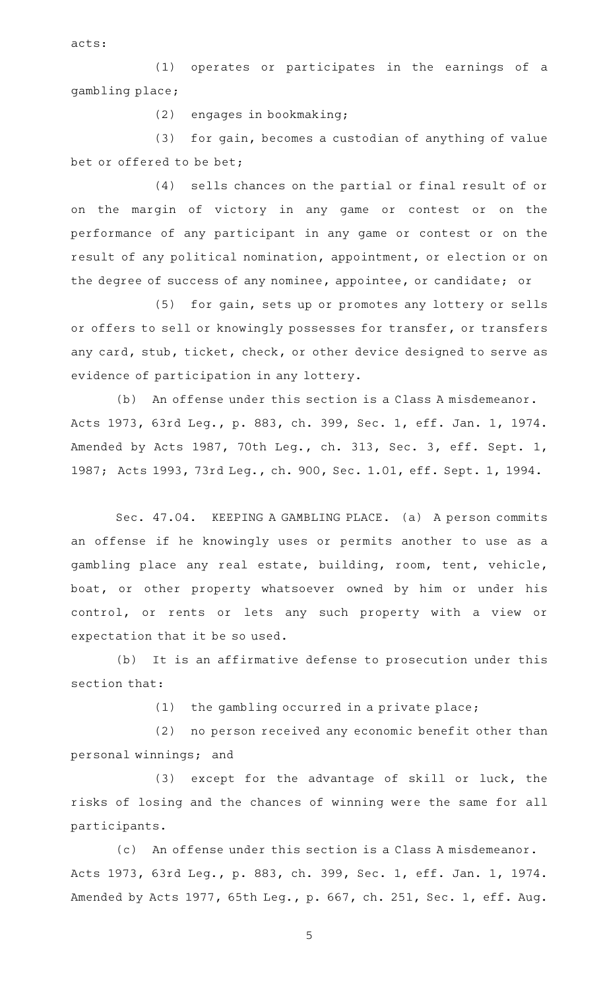acts:

(1) operates or participates in the earnings of a gambling place;

 $(2)$  engages in bookmaking;

(3) for gain, becomes a custodian of anything of value bet or offered to be bet;

(4) sells chances on the partial or final result of or on the margin of victory in any game or contest or on the performance of any participant in any game or contest or on the result of any political nomination, appointment, or election or on the degree of success of any nominee, appointee, or candidate; or

(5) for gain, sets up or promotes any lottery or sells or offers to sell or knowingly possesses for transfer, or transfers any card, stub, ticket, check, or other device designed to serve as evidence of participation in any lottery.

(b) An offense under this section is a Class A misdemeanor. Acts 1973, 63rd Leg., p. 883, ch. 399, Sec. 1, eff. Jan. 1, 1974. Amended by Acts 1987, 70th Leg., ch. 313, Sec. 3, eff. Sept. 1, 1987; Acts 1993, 73rd Leg., ch. 900, Sec. 1.01, eff. Sept. 1, 1994.

Sec. 47.04. KEEPING A GAMBLING PLACE. (a) A person commits an offense if he knowingly uses or permits another to use as a gambling place any real estate, building, room, tent, vehicle, boat, or other property whatsoever owned by him or under his control, or rents or lets any such property with a view or expectation that it be so used.

(b) It is an affirmative defense to prosecution under this section that:

 $(1)$  the gambling occurred in a private place;

(2) no person received any economic benefit other than personal winnings; and

 $(3)$  except for the advantage of skill or luck, the risks of losing and the chances of winning were the same for all participants.

(c) An offense under this section is a Class A misdemeanor. Acts 1973, 63rd Leg., p. 883, ch. 399, Sec. 1, eff. Jan. 1, 1974. Amended by Acts 1977, 65th Leg., p. 667, ch. 251, Sec. 1, eff. Aug.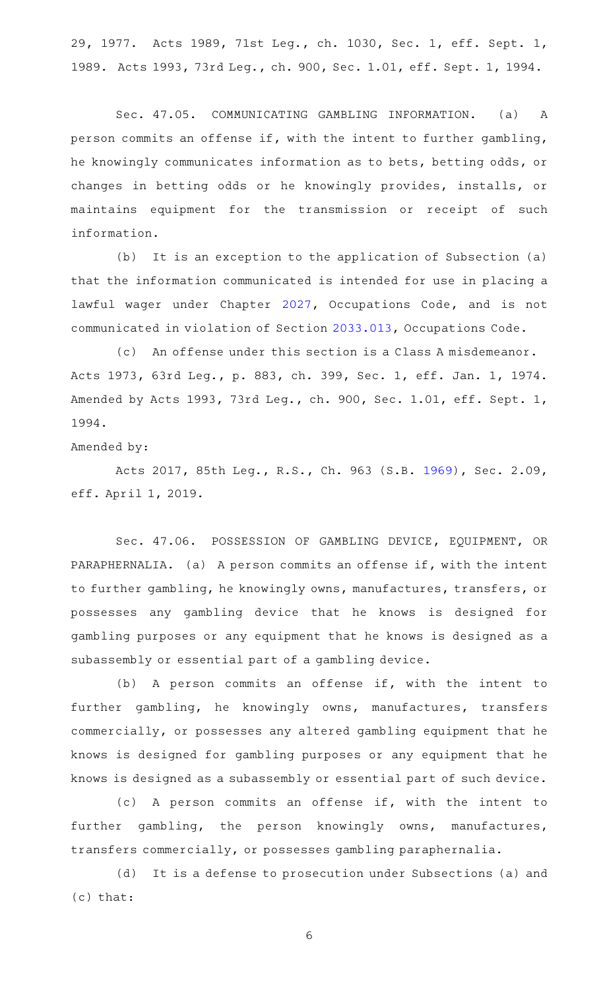29, 1977. Acts 1989, 71st Leg., ch. 1030, Sec. 1, eff. Sept. 1, 1989. Acts 1993, 73rd Leg., ch. 900, Sec. 1.01, eff. Sept. 1, 1994.

Sec. 47.05. COMMUNICATING GAMBLING INFORMATION. (a) A person commits an offense if, with the intent to further gambling, he knowingly communicates information as to bets, betting odds, or changes in betting odds or he knowingly provides, installs, or maintains equipment for the transmission or receipt of such information.

(b) It is an exception to the application of Subsection (a) that the information communicated is intended for use in placing a lawful wager under Chapter [2027](http://www.statutes.legis.state.tx.us/GetStatute.aspx?Code=OC&Value=2027), Occupations Code, and is not communicated in violation of Section [2033.013](http://www.statutes.legis.state.tx.us/GetStatute.aspx?Code=OC&Value=2033.013), Occupations Code.

(c) An offense under this section is a Class A misdemeanor. Acts 1973, 63rd Leg., p. 883, ch. 399, Sec. 1, eff. Jan. 1, 1974. Amended by Acts 1993, 73rd Leg., ch. 900, Sec. 1.01, eff. Sept. 1, 1994.

Amended by:

Acts 2017, 85th Leg., R.S., Ch. 963 (S.B. [1969\)](http://www.legis.state.tx.us/tlodocs/85R/billtext/html/SB01969F.HTM), Sec. 2.09, eff. April 1, 2019.

Sec. 47.06. POSSESSION OF GAMBLING DEVICE, EQUIPMENT, OR PARAPHERNALIA. (a) A person commits an offense if, with the intent to further gambling, he knowingly owns, manufactures, transfers, or possesses any gambling device that he knows is designed for gambling purposes or any equipment that he knows is designed as a subassembly or essential part of a gambling device.

(b) A person commits an offense if, with the intent to further gambling, he knowingly owns, manufactures, transfers commercially, or possesses any altered gambling equipment that he knows is designed for gambling purposes or any equipment that he knows is designed as a subassembly or essential part of such device.

(c)AAA person commits an offense if, with the intent to further gambling, the person knowingly owns, manufactures, transfers commercially, or possesses gambling paraphernalia.

(d) It is a defense to prosecution under Subsections (a) and (c) that: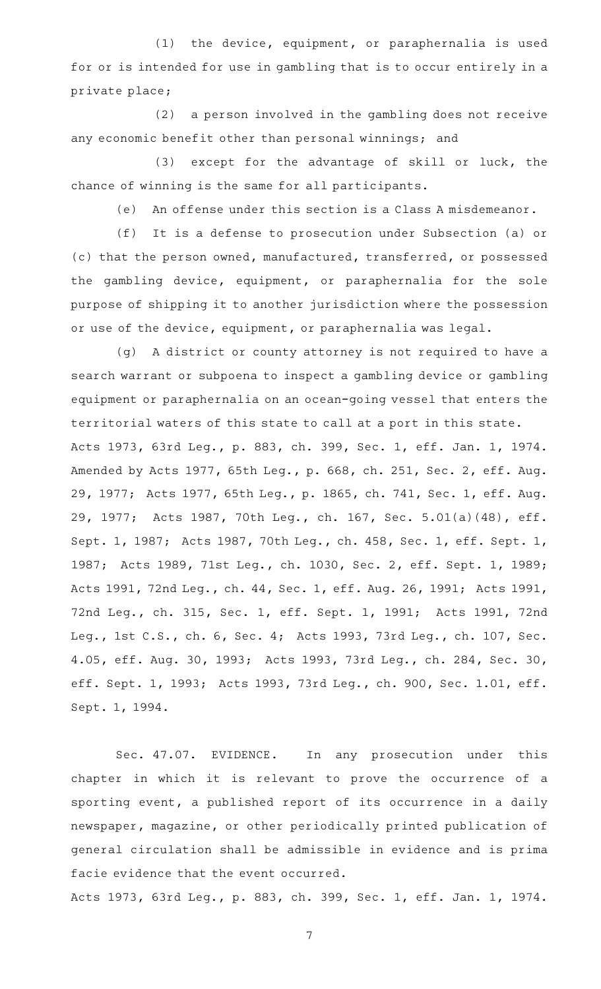$(1)$  the device, equipment, or paraphernalia is used for or is intended for use in gambling that is to occur entirely in a private place;

 $(2)$  a person involved in the gambling does not receive any economic benefit other than personal winnings; and

 $(3)$  except for the advantage of skill or luck, the chance of winning is the same for all participants.

(e) An offense under this section is a Class A misdemeanor.

(f) It is a defense to prosecution under Subsection (a) or (c) that the person owned, manufactured, transferred, or possessed the gambling device, equipment, or paraphernalia for the sole purpose of shipping it to another jurisdiction where the possession or use of the device, equipment, or paraphernalia was legal.

(g) A district or county attorney is not required to have a search warrant or subpoena to inspect a gambling device or gambling equipment or paraphernalia on an ocean-going vessel that enters the territorial waters of this state to call at a port in this state. Acts 1973, 63rd Leg., p. 883, ch. 399, Sec. 1, eff. Jan. 1, 1974. Amended by Acts 1977, 65th Leg., p. 668, ch. 251, Sec. 2, eff. Aug. 29, 1977; Acts 1977, 65th Leg., p. 1865, ch. 741, Sec. 1, eff. Aug. 29, 1977; Acts 1987, 70th Leg., ch. 167, Sec. 5.01(a)(48), eff. Sept. 1, 1987; Acts 1987, 70th Leg., ch. 458, Sec. 1, eff. Sept. 1, 1987; Acts 1989, 71st Leg., ch. 1030, Sec. 2, eff. Sept. 1, 1989; Acts 1991, 72nd Leg., ch. 44, Sec. 1, eff. Aug. 26, 1991; Acts 1991, 72nd Leg., ch. 315, Sec. 1, eff. Sept. 1, 1991; Acts 1991, 72nd Leg., 1st C.S., ch. 6, Sec. 4; Acts 1993, 73rd Leg., ch. 107, Sec. 4.05, eff. Aug. 30, 1993; Acts 1993, 73rd Leg., ch. 284, Sec. 30, eff. Sept. 1, 1993; Acts 1993, 73rd Leg., ch. 900, Sec. 1.01, eff. Sept. 1, 1994.

Sec. 47.07. EVIDENCE. In any prosecution under this chapter in which it is relevant to prove the occurrence of a sporting event, a published report of its occurrence in a daily newspaper, magazine, or other periodically printed publication of general circulation shall be admissible in evidence and is prima facie evidence that the event occurred.

Acts 1973, 63rd Leg., p. 883, ch. 399, Sec. 1, eff. Jan. 1, 1974.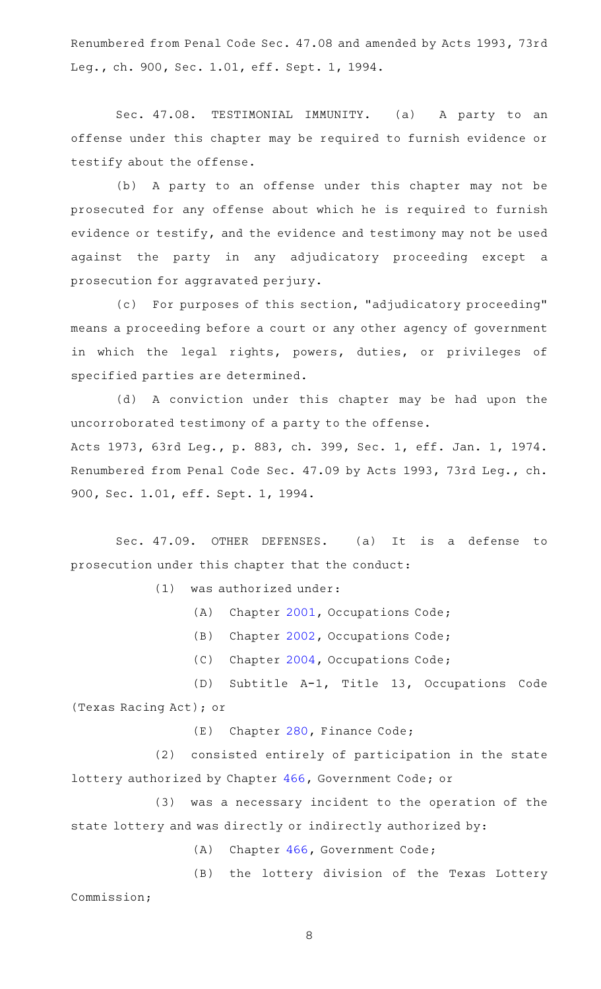Renumbered from Penal Code Sec. 47.08 and amended by Acts 1993, 73rd Leg., ch. 900, Sec. 1.01, eff. Sept. 1, 1994.

Sec. 47.08. TESTIMONIAL IMMUNITY. (a) A party to an offense under this chapter may be required to furnish evidence or testify about the offense.

(b) A party to an offense under this chapter may not be prosecuted for any offense about which he is required to furnish evidence or testify, and the evidence and testimony may not be used against the party in any adjudicatory proceeding except a prosecution for aggravated perjury.

(c) For purposes of this section, "adjudicatory proceeding" means a proceeding before a court or any other agency of government in which the legal rights, powers, duties, or privileges of specified parties are determined.

(d) A conviction under this chapter may be had upon the uncorroborated testimony of a party to the offense. Acts 1973, 63rd Leg., p. 883, ch. 399, Sec. 1, eff. Jan. 1, 1974. Renumbered from Penal Code Sec. 47.09 by Acts 1993, 73rd Leg., ch. 900, Sec. 1.01, eff. Sept. 1, 1994.

Sec. 47.09. OTHER DEFENSES. (a) It is a defense to prosecution under this chapter that the conduct:

 $(1)$  was authorized under:

(A) Chapter [2001](http://www.statutes.legis.state.tx.us/GetStatute.aspx?Code=OC&Value=2001), Occupations Code;

(B) Chapter [2002](http://www.statutes.legis.state.tx.us/GetStatute.aspx?Code=OC&Value=2002), Occupations Code;

(C) Chapter [2004](http://www.statutes.legis.state.tx.us/GetStatute.aspx?Code=OC&Value=2004), Occupations Code;

(D) Subtitle A-1, Title 13, Occupations Code (Texas Racing Act); or

(E) Chapter [280,](http://www.statutes.legis.state.tx.us/GetStatute.aspx?Code=FI&Value=280) Finance Code;

(2) consisted entirely of participation in the state lottery authorized by Chapter [466](http://www.statutes.legis.state.tx.us/GetStatute.aspx?Code=GV&Value=466), Government Code; or

(3) was a necessary incident to the operation of the state lottery and was directly or indirectly authorized by:

(A) Chapter [466,](http://www.statutes.legis.state.tx.us/GetStatute.aspx?Code=GV&Value=466) Government Code;

(B) the lottery division of the Texas Lottery Commission;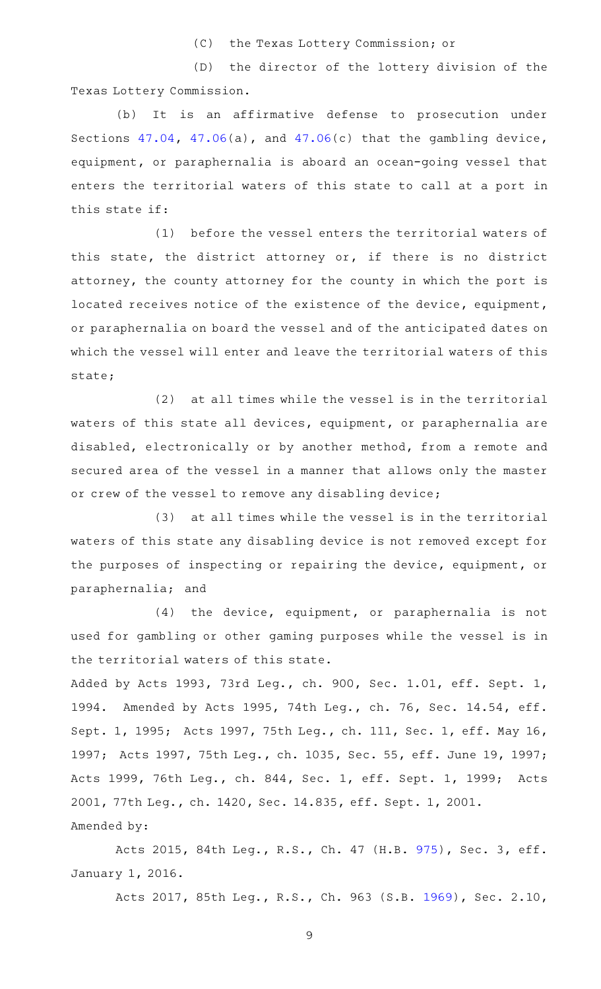(C) the Texas Lottery Commission; or

(D) the director of the lottery division of the Texas Lottery Commission.

(b) It is an affirmative defense to prosecution under Sections  $47.04$ ,  $47.06(a)$  $47.06(a)$ , and  $47.06(c)$  $47.06(c)$  that the gambling device, equipment, or paraphernalia is aboard an ocean-going vessel that enters the territorial waters of this state to call at a port in this state if:

(1) before the vessel enters the territorial waters of this state, the district attorney or, if there is no district attorney, the county attorney for the county in which the port is located receives notice of the existence of the device, equipment, or paraphernalia on board the vessel and of the anticipated dates on which the vessel will enter and leave the territorial waters of this state;

 $(2)$  at all times while the vessel is in the territorial waters of this state all devices, equipment, or paraphernalia are disabled, electronically or by another method, from a remote and secured area of the vessel in a manner that allows only the master or crew of the vessel to remove any disabling device;

(3) at all times while the vessel is in the territorial waters of this state any disabling device is not removed except for the purposes of inspecting or repairing the device, equipment, or paraphernalia; and

 $(4)$  the device, equipment, or paraphernalia is not used for gambling or other gaming purposes while the vessel is in the territorial waters of this state.

Added by Acts 1993, 73rd Leg., ch. 900, Sec. 1.01, eff. Sept. 1, 1994. Amended by Acts 1995, 74th Leg., ch. 76, Sec. 14.54, eff. Sept. 1, 1995; Acts 1997, 75th Leg., ch. 111, Sec. 1, eff. May 16, 1997; Acts 1997, 75th Leg., ch. 1035, Sec. 55, eff. June 19, 1997; Acts 1999, 76th Leg., ch. 844, Sec. 1, eff. Sept. 1, 1999; Acts 2001, 77th Leg., ch. 1420, Sec. 14.835, eff. Sept. 1, 2001. Amended by:

Acts 2015, 84th Leg., R.S., Ch. 47 (H.B. [975](http://www.legis.state.tx.us/tlodocs/84R/billtext/html/HB00975F.HTM)), Sec. 3, eff. January 1, 2016.

Acts 2017, 85th Leg., R.S., Ch. 963 (S.B. [1969\)](http://www.legis.state.tx.us/tlodocs/85R/billtext/html/SB01969F.HTM), Sec. 2.10,